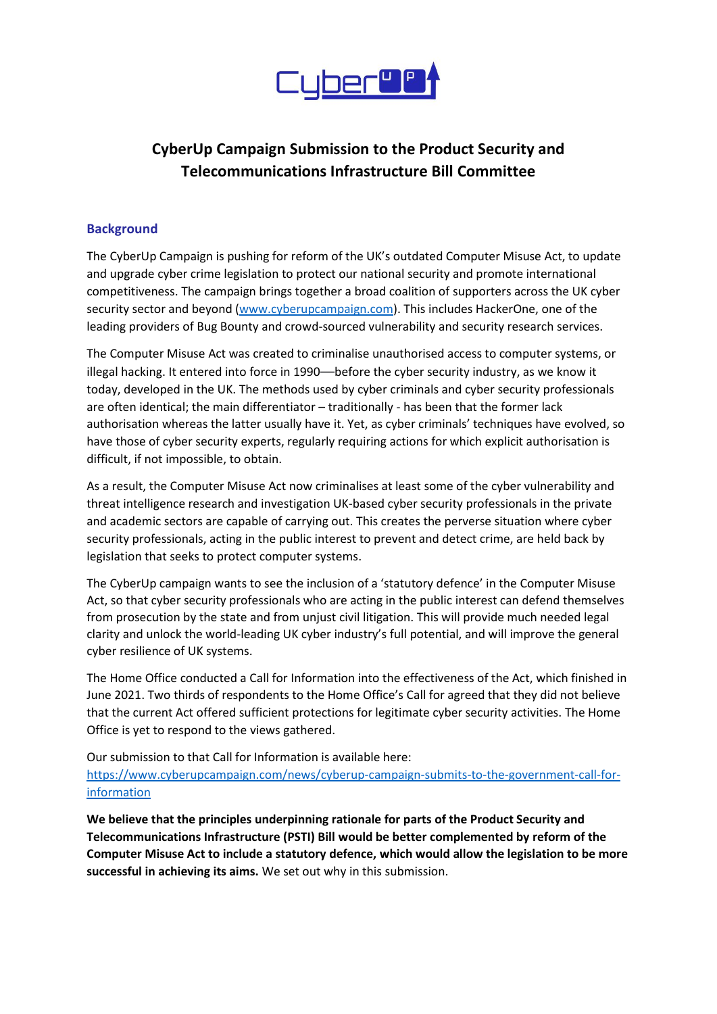

# **CyberUp Campaign Submission to the Product Security and Telecommunications Infrastructure Bill Committee**

#### **Background**

The CyberUp Campaign is pushing for reform of the UK's outdated Computer Misuse Act, to update and upgrade cyber crime legislation to protect our national security and promote international competitiveness. The campaign brings together a broad coalition of supporters across the UK cyber security sector and beyond [\(www.cyberupcampaign.com\)](http://www.cyberupcampaign.com/). This includes HackerOne, one of the leading providers of Bug Bounty and crowd-sourced vulnerability and security research services.

The Computer Misuse Act was created to criminalise unauthorised access to computer systems, or illegal hacking. It entered into force in 1990—before the cyber security industry, as we know it today, developed in the UK. The methods used by cyber criminals and cyber security professionals are often identical; the main differentiator – traditionally - has been that the former lack authorisation whereas the latter usually have it. Yet, as cyber criminals' techniques have evolved, so have those of cyber security experts, regularly requiring actions for which explicit authorisation is difficult, if not impossible, to obtain.

As a result, the Computer Misuse Act now criminalises at least some of the cyber vulnerability and threat intelligence research and investigation UK-based cyber security professionals in the private and academic sectors are capable of carrying out. This creates the perverse situation where cyber security professionals, acting in the public interest to prevent and detect crime, are held back by legislation that seeks to protect computer systems.

The CyberUp campaign wants to see the inclusion of a 'statutory defence' in the Computer Misuse Act, so that cyber security professionals who are acting in the public interest can defend themselves from prosecution by the state and from unjust civil litigation. This will provide much needed legal clarity and unlock the world-leading UK cyber industry's full potential, and will improve the general cyber resilience of UK systems.

The Home Office conducted a Call for Information into the effectiveness of the Act, which finished in June 2021. Two thirds of respondents to the Home Office's Call for agreed that they did not believe that the current Act offered sufficient protections for legitimate cyber security activities. The Home Office is yet to respond to the views gathered.

Our submission to that Call for Information is available here:

[https://www.cyberupcampaign.com/news/cyberup-campaign-submits-to-the-government-call-for](https://www.cyberupcampaign.com/news/cyberup-campaign-submits-to-the-government-call-for-information)[information](https://www.cyberupcampaign.com/news/cyberup-campaign-submits-to-the-government-call-for-information)

**We believe that the principles underpinning rationale for parts of the Product Security and Telecommunications Infrastructure (PSTI) Bill would be better complemented by reform of the Computer Misuse Act to include a statutory defence, which would allow the legislation to be more successful in achieving its aims.** We set out why in this submission.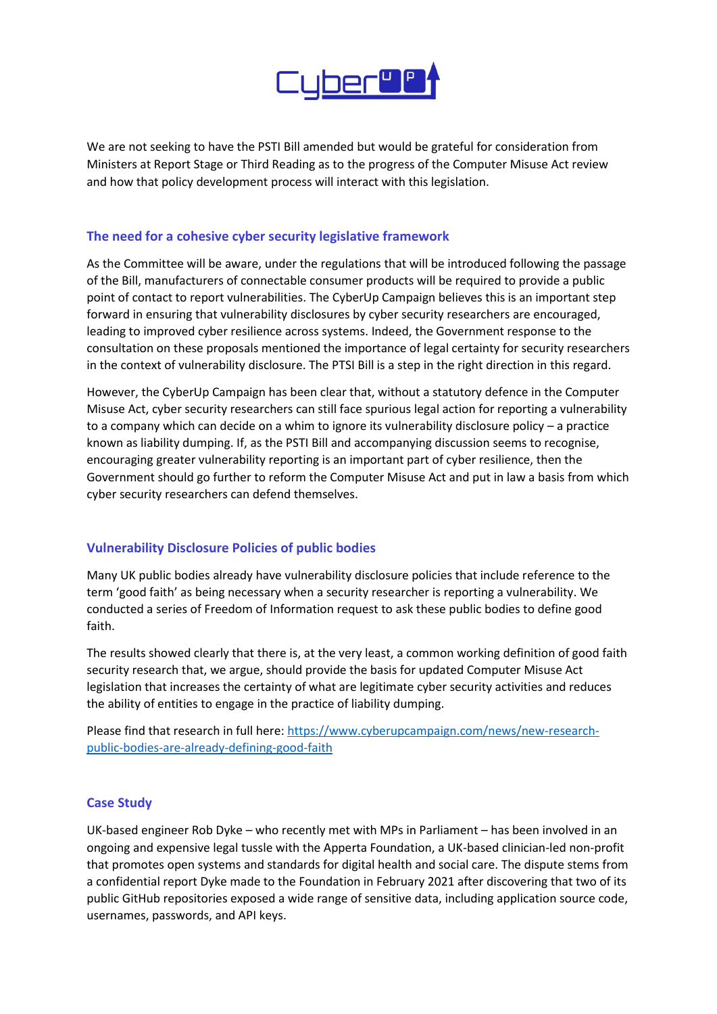

We are not seeking to have the PSTI Bill amended but would be grateful for consideration from Ministers at Report Stage or Third Reading as to the progress of the Computer Misuse Act review and how that policy development process will interact with this legislation.

#### **The need for a cohesive cyber security legislative framework**

As the Committee will be aware, under the regulations that will be introduced following the passage of the Bill, manufacturers of connectable consumer products will be required to provide a public point of contact to report vulnerabilities. The CyberUp Campaign believes this is an important step forward in ensuring that vulnerability disclosures by cyber security researchers are encouraged, leading to improved cyber resilience across systems. Indeed, the Government response to the consultation on these proposals mentioned the importance of legal certainty for security researchers in the context of vulnerability disclosure. The PTSI Bill is a step in the right direction in this regard.

However, the CyberUp Campaign has been clear that, without a statutory defence in the Computer Misuse Act, cyber security researchers can still face spurious legal action for reporting a vulnerability to a company which can decide on a whim to ignore its vulnerability disclosure policy – a practice known as liability dumping. If, as the PSTI Bill and accompanying discussion seems to recognise, encouraging greater vulnerability reporting is an important part of cyber resilience, then the Government should go further to reform the Computer Misuse Act and put in law a basis from which cyber security researchers can defend themselves.

## **Vulnerability Disclosure Policies of public bodies**

Many UK public bodies already have vulnerability disclosure policies that include reference to the term 'good faith' as being necessary when a security researcher is reporting a vulnerability. We conducted a series of Freedom of Information request to ask these public bodies to define good faith.

The results showed clearly that there is, at the very least, a common working definition of good faith security research that, we argue, should provide the basis for updated Computer Misuse Act legislation that increases the certainty of what are legitimate cyber security activities and reduces the ability of entities to engage in the practice of liability dumping.

Please find that research in full here[: https://www.cyberupcampaign.com/news/new-research](https://www.cyberupcampaign.com/news/new-research-public-bodies-are-already-defining-good-faith)[public-bodies-are-already-defining-good-faith](https://www.cyberupcampaign.com/news/new-research-public-bodies-are-already-defining-good-faith)

## **Case Study**

UK-based engineer Rob Dyke – who recently met with MPs in Parliament – has been involved in an ongoing and expensive legal tussle with the Apperta Foundation, a UK-based clinician-led non-profit that promotes open systems and standards for digital health and social care. The dispute stems from a confidential report Dyke made to the Foundation in February 2021 after discovering that two of its public GitHub repositories exposed a wide range of sensitive data, including application source code, usernames, passwords, and API keys.